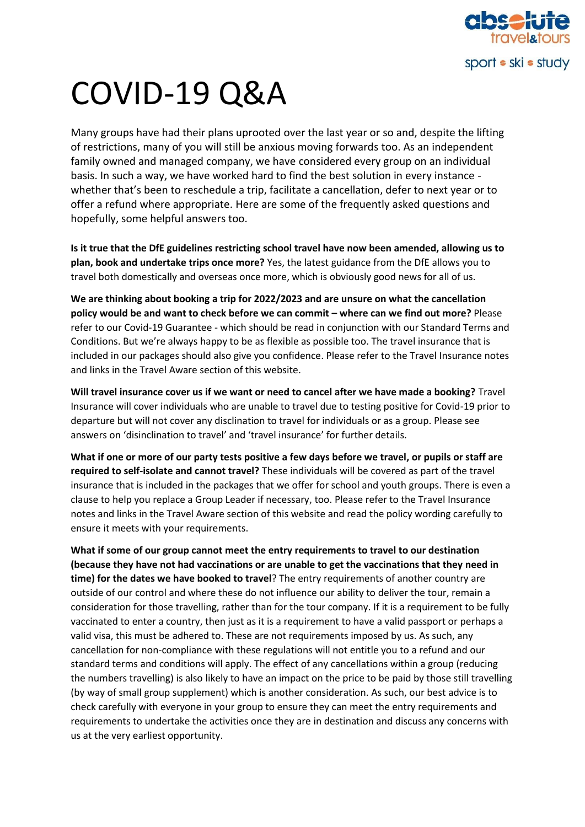

## COVID-19 Q&A

Many groups have had their plans uprooted over the last year or so and, despite the lifting of restrictions, many of you will still be anxious moving forwards too. As an independent family owned and managed company, we have considered every group on an individual basis. In such a way, we have worked hard to find the best solution in every instance whether that's been to reschedule a trip, facilitate a cancellation, defer to next year or to offer a refund where appropriate. Here are some of the frequently asked questions and hopefully, some helpful answers too.

**Is it true that the DfE guidelines restricting school travel have now been amended, allowing us to plan, book and undertake trips once more?** Yes, the latest guidance from the DfE allows you to travel both domestically and overseas once more, which is obviously good news for all of us.

**We are thinking about booking a trip for 2022/2023 and are unsure on what the cancellation policy would be and want to check before we can commit – where can we find out more? Please** refer to our Covid-19 Guarantee - which should be read in conjunction with our Standard Terms and Conditions. But we're always happy to be as flexible as possible too. The travel insurance that is included in our packages should also give you confidence. Please refer to the Travel Insurance notes and links in the Travel Aware section of this website.

**Will travel insurance cover us if we want or need to cancel after we have made a booking?** Travel Insurance will cover individuals who are unable to travel due to testing positive for Covid-19 prior to departure but will not cover any disclination to travel for individuals or as a group. Please see answers on 'disinclination to travel' and 'travel insurance' for further details.

**What if one or more of our party tests positive a few days before we travel, or pupils or staff are required to self-isolate and cannot travel?** These individuals will be covered as part of the travel insurance that is included in the packages that we offer for school and youth groups. There is even a clause to help you replace a Group Leader if necessary, too. Please refer to the Travel Insurance notes and links in the Travel Aware section of this website and read the policy wording carefully to ensure it meets with your requirements.

**What if some of our group cannot meet the entry requirements to travel to our destination (because they have not had vaccinations or are unable to get the vaccinations that they need in time) for the dates we have booked to travel**? The entry requirements of another country are outside of our control and where these do not influence our ability to deliver the tour, remain a consideration for those travelling, rather than for the tour company. If it is a requirement to be fully vaccinated to enter a country, then just as it is a requirement to have a valid passport or perhaps a valid visa, this must be adhered to. These are not requirements imposed by us. As such, any cancellation for non-compliance with these regulations will not entitle you to a refund and our standard terms and conditions will apply. The effect of any cancellations within a group (reducing the numbers travelling) is also likely to have an impact on the price to be paid by those still travelling (by way of small group supplement) which is another consideration. As such, our best advice is to check carefully with everyone in your group to ensure they can meet the entry requirements and requirements to undertake the activities once they are in destination and discuss any concerns with us at the very earliest opportunity.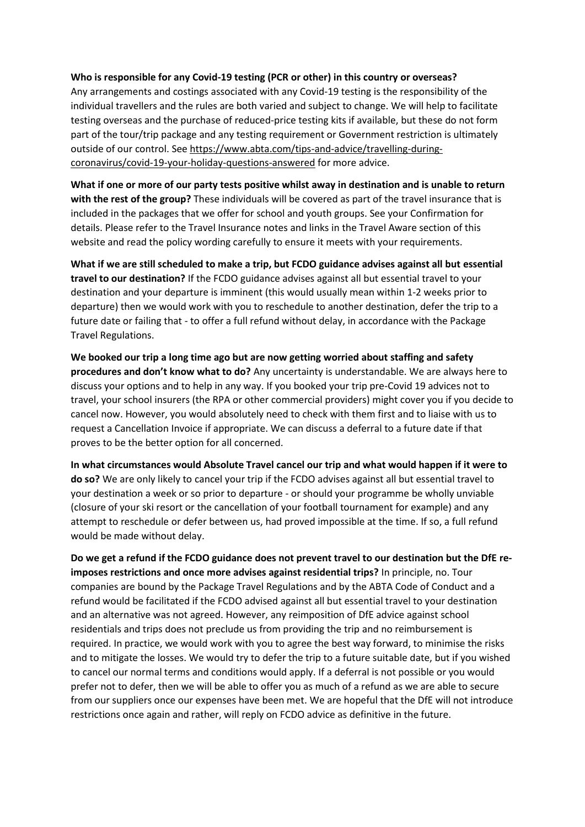## **Who is responsible for any Covid-19 testing (PCR or other) in this country or overseas?**

Any arrangements and costings associated with any Covid-19 testing is the responsibility of the individual travellers and the rules are both varied and subject to change. We will help to facilitate testing overseas and the purchase of reduced-price testing kits if available, but these do not form part of the tour/trip package and any testing requirement or Government restriction is ultimately outside of our control. See [https://www.abta.com/tips-and-advice/travelling-during](https://www.abta.com/tips-and-advice/travelling-during-coronavirus/covid-19-your-holiday-questions-answered)[coronavirus/covid-19-your-holiday-questions-answered](https://www.abta.com/tips-and-advice/travelling-during-coronavirus/covid-19-your-holiday-questions-answered) for more advice.

**What if one or more of our party tests positive whilst away in destination and is unable to return with the rest of the group?** These individuals will be covered as part of the travel insurance that is included in the packages that we offer for school and youth groups. See your Confirmation for details. Please refer to the Travel Insurance notes and links in the Travel Aware section of this website and read the policy wording carefully to ensure it meets with your requirements.

**What if we are still scheduled to make a trip, but FCDO guidance advises against all but essential travel to our destination?** If the FCDO guidance advises against all but essential travel to your destination and your departure is imminent (this would usually mean within 1-2 weeks prior to departure) then we would work with you to reschedule to another destination, defer the trip to a future date or failing that - to offer a full refund without delay, in accordance with the Package Travel Regulations.

**We booked our trip a long time ago but are now getting worried about staffing and safety procedures and don't know what to do?** Any uncertainty is understandable. We are always here to discuss your options and to help in any way. If you booked your trip pre-Covid 19 advices not to travel, your school insurers (the RPA or other commercial providers) might cover you if you decide to cancel now. However, you would absolutely need to check with them first and to liaise with us to request a Cancellation Invoice if appropriate. We can discuss a deferral to a future date if that proves to be the better option for all concerned.

**In what circumstances would Absolute Travel cancel our trip and what would happen if it were to do so?** We are only likely to cancel your trip if the FCDO advises against all but essential travel to your destination a week or so prior to departure - or should your programme be wholly unviable (closure of your ski resort or the cancellation of your football tournament for example) and any attempt to reschedule or defer between us, had proved impossible at the time. If so, a full refund would be made without delay.

**Do we get a refund if the FCDO guidance does not prevent travel to our destination but the DfE reimposes restrictions and once more advises against residential trips?** In principle, no. Tour companies are bound by the Package Travel Regulations and by the ABTA Code of Conduct and a refund would be facilitated if the FCDO advised against all but essential travel to your destination and an alternative was not agreed. However, any reimposition of DfE advice against school residentials and trips does not preclude us from providing the trip and no reimbursement is required. In practice, we would work with you to agree the best way forward, to minimise the risks and to mitigate the losses. We would try to defer the trip to a future suitable date, but if you wished to cancel our normal terms and conditions would apply. If a deferral is not possible or you would prefer not to defer, then we will be able to offer you as much of a refund as we are able to secure from our suppliers once our expenses have been met. We are hopeful that the DfE will not introduce restrictions once again and rather, will reply on FCDO advice as definitive in the future.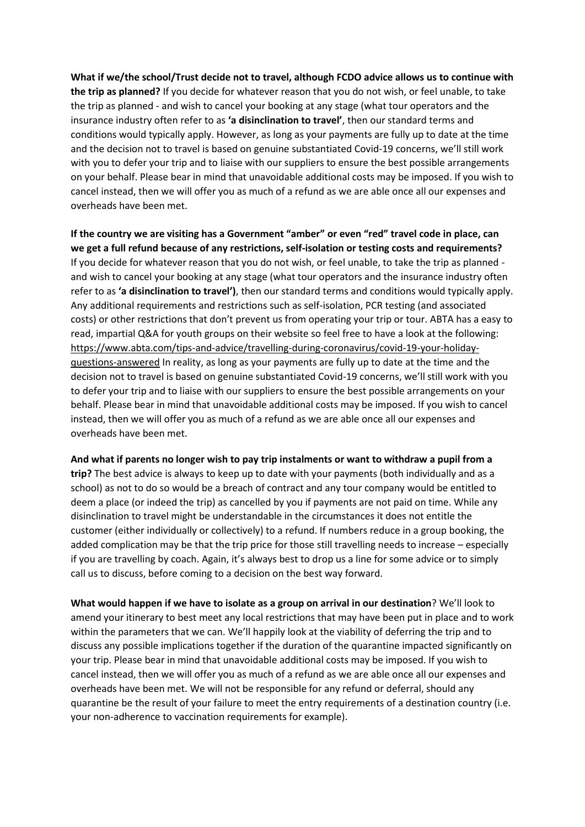**What if we/the school/Trust decide not to travel, although FCDO advice allows us to continue with the trip as planned?** If you decide for whatever reason that you do not wish, or feel unable, to take the trip as planned - and wish to cancel your booking at any stage (what tour operators and the insurance industry often refer to as **'a disinclination to travel'**, then our standard terms and conditions would typically apply. However, as long as your payments are fully up to date at the time and the decision not to travel is based on genuine substantiated Covid-19 concerns, we'll still work with you to defer your trip and to liaise with our suppliers to ensure the best possible arrangements on your behalf. Please bear in mind that unavoidable additional costs may be imposed. If you wish to cancel instead, then we will offer you as much of a refund as we are able once all our expenses and overheads have been met.

**If the country we are visiting has a Government "amber" or even "red" travel code in place, can we get a full refund because of any restrictions, self-isolation or testing costs and requirements?** If you decide for whatever reason that you do not wish, or feel unable, to take the trip as planned and wish to cancel your booking at any stage (what tour operators and the insurance industry often refer to as **'a disinclination to travel')**, then our standard terms and conditions would typically apply. Any additional requirements and restrictions such as self-isolation, PCR testing (and associated costs) or other restrictions that don't prevent us from operating your trip or tour. ABTA has a easy to read, impartial Q&A for youth groups on their website so feel free to have a look at the following: [https://www.abta.com/tips-and-advice/travelling-during-coronavirus/covid-19-your-holiday](https://www.abta.com/tips-and-advice/travelling-during-coronavirus/covid-19-your-holiday-questions-answered)[questions-answered](https://www.abta.com/tips-and-advice/travelling-during-coronavirus/covid-19-your-holiday-questions-answered) In reality, as long as your payments are fully up to date at the time and the decision not to travel is based on genuine substantiated Covid-19 concerns, we'll still work with you to defer your trip and to liaise with our suppliers to ensure the best possible arrangements on your behalf. Please bear in mind that unavoidable additional costs may be imposed. If you wish to cancel instead, then we will offer you as much of a refund as we are able once all our expenses and overheads have been met.

**And what if parents no longer wish to pay trip instalments or want to withdraw a pupil from a** 

**trip?** The best advice is always to keep up to date with your payments (both individually and as a school) as not to do so would be a breach of contract and any tour company would be entitled to deem a place (or indeed the trip) as cancelled by you if payments are not paid on time. While any disinclination to travel might be understandable in the circumstances it does not entitle the customer (either individually or collectively) to a refund. If numbers reduce in a group booking, the added complication may be that the trip price for those still travelling needs to increase – especially if you are travelling by coach. Again, it's always best to drop us a line for some advice or to simply call us to discuss, before coming to a decision on the best way forward.

**What would happen if we have to isolate as a group on arrival in our destination**? We'll look to amend your itinerary to best meet any local restrictions that may have been put in place and to work within the parameters that we can. We'll happily look at the viability of deferring the trip and to discuss any possible implications together if the duration of the quarantine impacted significantly on your trip. Please bear in mind that unavoidable additional costs may be imposed. If you wish to cancel instead, then we will offer you as much of a refund as we are able once all our expenses and overheads have been met. We will not be responsible for any refund or deferral, should any quarantine be the result of your failure to meet the entry requirements of a destination country (i.e. your non-adherence to vaccination requirements for example).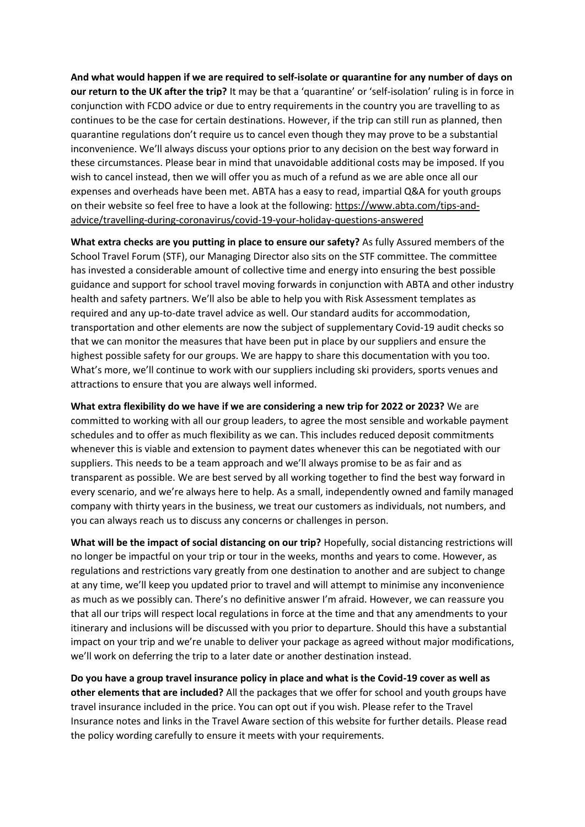**And what would happen if we are required to self-isolate or quarantine for any number of days on our return to the UK after the trip?** It may be that a 'quarantine' or 'self-isolation' ruling is in force in conjunction with FCDO advice or due to entry requirements in the country you are travelling to as continues to be the case for certain destinations. However, if the trip can still run as planned, then quarantine regulations don't require us to cancel even though they may prove to be a substantial inconvenience. We'll always discuss your options prior to any decision on the best way forward in these circumstances. Please bear in mind that unavoidable additional costs may be imposed. If you wish to cancel instead, then we will offer you as much of a refund as we are able once all our expenses and overheads have been met. ABTA has a easy to read, impartial Q&A for youth groups on their website so feel free to have a look at the following: [https://www.abta.com/tips-and](https://www.abta.com/tips-and-advice/travelling-during-coronavirus/covid-19-your-holiday-questions-answered)[advice/travelling-during-coronavirus/covid-19-your-holiday-questions-answered](https://www.abta.com/tips-and-advice/travelling-during-coronavirus/covid-19-your-holiday-questions-answered)

**What extra checks are you putting in place to ensure our safety?** As fully Assured members of the School Travel Forum (STF), our Managing Director also sits on the STF committee. The committee has invested a considerable amount of collective time and energy into ensuring the best possible guidance and support for school travel moving forwards in conjunction with ABTA and other industry health and safety partners. We'll also be able to help you with Risk Assessment templates as required and any up-to-date travel advice as well. Our standard audits for accommodation, transportation and other elements are now the subject of supplementary Covid-19 audit checks so that we can monitor the measures that have been put in place by our suppliers and ensure the highest possible safety for our groups. We are happy to share this documentation with you too. What's more, we'll continue to work with our suppliers including ski providers, sports venues and attractions to ensure that you are always well informed.

**What extra flexibility do we have if we are considering a new trip for 2022 or 2023?** We are committed to working with all our group leaders, to agree the most sensible and workable payment schedules and to offer as much flexibility as we can. This includes reduced deposit commitments whenever this is viable and extension to payment dates whenever this can be negotiated with our suppliers. This needs to be a team approach and we'll always promise to be as fair and as transparent as possible. We are best served by all working together to find the best way forward in every scenario, and we're always here to help. As a small, independently owned and family managed company with thirty years in the business, we treat our customers as individuals, not numbers, and you can always reach us to discuss any concerns or challenges in person.

**What will be the impact of social distancing on our trip?** Hopefully, social distancing restrictions will no longer be impactful on your trip or tour in the weeks, months and years to come. However, as regulations and restrictions vary greatly from one destination to another and are subject to change at any time, we'll keep you updated prior to travel and will attempt to minimise any inconvenience as much as we possibly can. There's no definitive answer I'm afraid. However, we can reassure you that all our trips will respect local regulations in force at the time and that any amendments to your itinerary and inclusions will be discussed with you prior to departure. Should this have a substantial impact on your trip and we're unable to deliver your package as agreed without major modifications, we'll work on deferring the trip to a later date or another destination instead.

**Do you have a group travel insurance policy in place and what is the Covid-19 cover as well as other elements that are included?** All the packages that we offer for school and youth groups have travel insurance included in the price. You can opt out if you wish. Please refer to the Travel Insurance notes and links in the Travel Aware section of this website for further details. Please read the policy wording carefully to ensure it meets with your requirements.